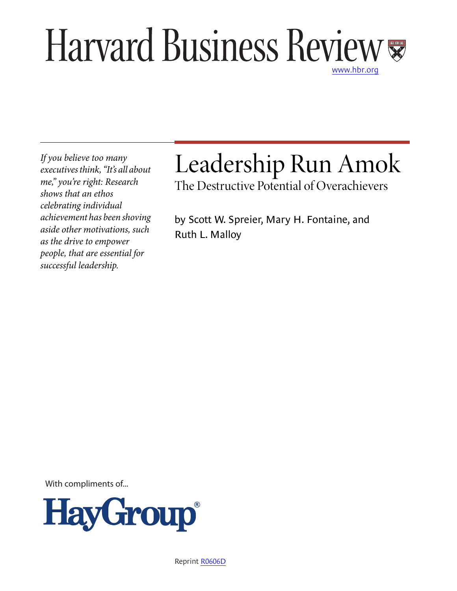# Harvard Business Review [www.hbr.org](http://www.hbr.org)

*If you believe too many executives think, "It's all about me," you're right: Research shows that an ethos celebrating individual achievement has been shoving aside other motivations, such as the drive to empower people, that are essential for successful leadership.*

# Leadership Run Amok

The Destructive Potential of Overachievers

by Scott W. Spreier, Mary H. Fontaine, and Ruth L. Malloy

With compliments of...



Reprint [R0606D](http://harvardbusinessonline.hbsp.harvard.edu/relay.jhtml?name=itemdetail&referral=4320&id=R0606D)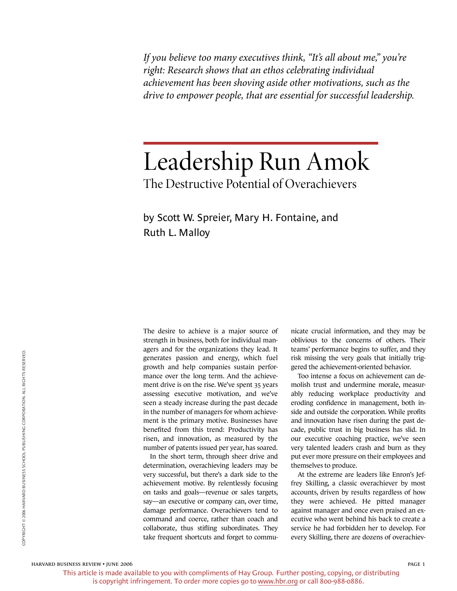*If you believe too many executives think, "It's all about me," you're right: Research shows that an ethos celebrating individual achievement has been shoving aside other motivations, such as the drive to empower people, that are essential for successful leadership.*

## Leadership Run Amok The Destructive Potential of Overachievers

by Scott W. Spreier, Mary H. Fontaine, and Ruth L. Malloy

The desire to achieve is a major source of strength in business, both for individual managers and for the organizations they lead. It generates passion and energy, which fuel growth and help companies sustain performance over the long term. And the achievement drive is on the rise. We've spent 35 years assessing executive motivation, and we've seen a steady increase during the past decade in the number of managers for whom achievement is the primary motive. Businesses have benefited from this trend: Productivity has risen, and innovation, as measured by the number of patents issued per year, has soared.

In the short term, through sheer drive and determination, overachieving leaders may be very successful, but there's a dark side to the achievement motive. By relentlessly focusing on tasks and goals—revenue or sales targets, say—an executive or company can, over time, damage performance. Overachievers tend to command and coerce, rather than coach and collaborate, thus stifling subordinates. They take frequent shortcuts and forget to communicate crucial information, and they may be oblivious to the concerns of others. Their teams' performance begins to suffer, and they risk missing the very goals that initially triggered the achievement-oriented behavior.

Too intense a focus on achievement can demolish trust and undermine morale, measurably reducing workplace productivity and eroding confidence in management, both inside and outside the corporation. While profits and innovation have risen during the past decade, public trust in big business has slid. In our executive coaching practice, we've seen very talented leaders crash and burn as they put ever more pressure on their employees and themselves to produce.

At the extreme are leaders like Enron's Jeffrey Skilling, a classic overachiever by most accounts, driven by results regardless of how they were achieved. He pitted manager against manager and once even praised an executive who went behind his back to create a service he had forbidden her to develop. For every Skilling, there are dozens of overachiev-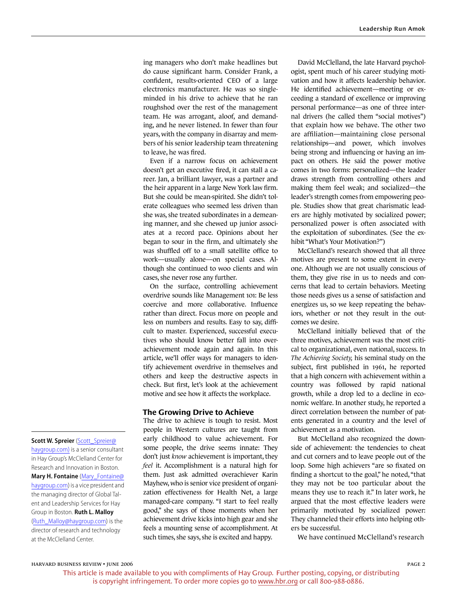ing managers who don't make headlines but do cause significant harm. Consider Frank, a confident, results-oriented CEO of a large electronics manufacturer. He was so singleminded in his drive to achieve that he ran roughshod over the rest of the management team. He was arrogant, aloof, and demanding, and he never listened. In fewer than four years, with the company in disarray and members of his senior leadership team threatening to leave, he was fired.

Even if a narrow focus on achievement doesn't get an executive fired, it can stall a career. Jan, a brilliant lawyer, was a partner and the heir apparent in a large New York law firm. But she could be mean-spirited. She didn't tolerate colleagues who seemed less driven than she was, she treated subordinates in a demeaning manner, and she chewed up junior associates at a record pace. Opinions about her began to sour in the firm, and ultimately she was shuffled off to a small satellite office to work—usually alone—on special cases. Although she continued to woo clients and win cases, she never rose any further.

On the surface, controlling achievement overdrive sounds like Management 101: Be less coercive and more collaborative. Influence rather than direct. Focus more on people and less on numbers and results. Easy to say, difficult to master. Experienced, successful executives who should know better fall into overachievement mode again and again. In this article, we'll offer ways for managers to identify achievement overdrive in themselves and others and keep the destructive aspects in check. But first, let's look at the achievement motive and see how it affects the workplace.

#### **The Growing Drive to Achieve**

The drive to achieve is tough to resist. Most people in Western cultures are taught from early childhood to value achievement. For some people, the drive seems innate: They don't just *know* achievement is important, they *feel* it. Accomplishment is a natural high for them. Just ask admitted overachiever Karin Mayhew, who is senior vice president of organization effectiveness for Health Net, a large managed-care company. "I start to feel really good," she says of those moments when her achievement drive kicks into high gear and she feels a mounting sense of accomplishment. At such times, she says, she is excited and happy.

David McClelland, the late Harvard psychologist, spent much of his career studying motivation and how it affects leadership behavior. He identified achievement—meeting or exceeding a standard of excellence or improving personal performance—as one of three internal drivers (he called them "social motives") that explain how we behave. The other two are affiliation—maintaining close personal relationships—and power, which involves being strong and influencing or having an impact on others. He said the power motive comes in two forms: personalized—the leader draws strength from controlling others and making them feel weak; and socialized—the leader's strength comes from empowering people. Studies show that great charismatic leaders are highly motivated by socialized power; personalized power is often associated with the exploitation of subordinates. (See the exhibit "What's Your Motivation?")

McClelland's research showed that all three motives are present to some extent in everyone. Although we are not usually conscious of them, they give rise in us to needs and concerns that lead to certain behaviors. Meeting those needs gives us a sense of satisfaction and energizes us, so we keep repeating the behaviors, whether or not they result in the outcomes we desire.

McClelland initially believed that of the three motives, achievement was the most critical to organizational, even national, success. In *The Achieving Society,* his seminal study on the subject, first published in 1961, he reported that a high concern with achievement within a country was followed by rapid national growth, while a drop led to a decline in economic welfare. In another study, he reported a direct correlation between the number of patents generated in a country and the level of achievement as a motivation.

But McClelland also recognized the downside of achievement: the tendencies to cheat and cut corners and to leave people out of the loop. Some high achievers "are so fixated on finding a shortcut to the goal," he noted, "that they may not be too particular about the means they use to reach it." In later work, he argued that the most effective leaders were primarily motivated by socialized power: They channeled their efforts into helping others be successful.

We have continued McClelland's research

#### [haygroup.com\)](mailto:Scott_Spreier@haygroup.com)) is a senior consultant in Hay Group's McClelland Center for Research and Innovation in Boston. **Mary H. Fontaine** [\(Mary\\_Fontaine@](mailto:Mary_Fontaine@haygroup.com) [haygroup.com\)](mailto:Mary_Fontaine@haygroup.com) is a vice president and the managing director of Global Talent and Leadership Services for Hay Group in Boston. **Ruth L. Malloy** [\(Ruth\\_Malloy@haygroup.com](mailto:Ruth_Malloy@haygroup.com)) is the director of research and technology

**Scott W. Spreier** [\(Scott\\_Spreier@](mailto:Scott_Spreier@haygroup.com))

harvard business review • june 2006

at the McClelland Center.

 $p_{\text{AGE 2}}$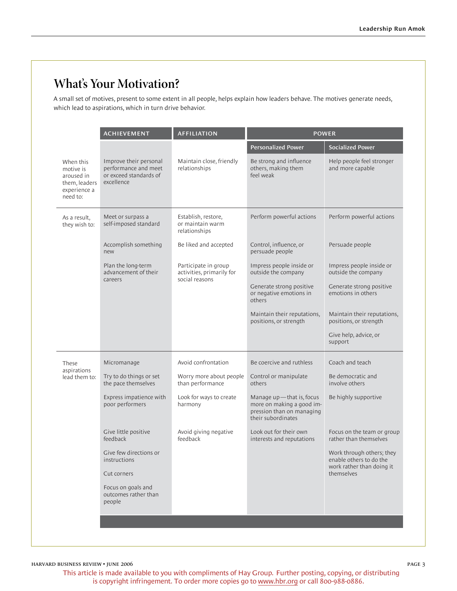## **What's Your Motivation?**

A small set of motives, present to some extent in all people, helps explain how leaders behave. The motives generate needs, which lead to aspirations, which in turn drive behavior.

|                                                                                   | <b>ACHIEVEMENT</b>                                                                     | <b>AFFILIATION</b>                                                  | <b>POWER</b>                                                                                             |                                                       |
|-----------------------------------------------------------------------------------|----------------------------------------------------------------------------------------|---------------------------------------------------------------------|----------------------------------------------------------------------------------------------------------|-------------------------------------------------------|
|                                                                                   |                                                                                        |                                                                     | <b>Personalized Power</b>                                                                                | <b>Socialized Power</b>                               |
| When this<br>motive is<br>aroused in<br>them, leaders<br>experience a<br>need to: | Improve their personal<br>performance and meet<br>or exceed standards of<br>excellence | Maintain close, friendly<br>relationships                           | Be strong and influence<br>others, making them<br>feel weak                                              | Help people feel stronger<br>and more capable         |
| As a result,<br>they wish to:                                                     | Meet or surpass a<br>self-imposed standard                                             | Establish, restore,<br>or maintain warm<br>relationships            | Perform powerful actions                                                                                 | Perform powerful actions                              |
|                                                                                   | Accomplish something<br>new                                                            | Be liked and accepted                                               | Control, influence, or<br>persuade people                                                                | Persuade people                                       |
|                                                                                   | Plan the long-term<br>advancement of their<br>careers                                  | Participate in group<br>activities, primarily for<br>social reasons | Impress people inside or<br>outside the company                                                          | Impress people inside or<br>outside the company       |
|                                                                                   |                                                                                        |                                                                     | Generate strong positive<br>or negative emotions in<br>others                                            | Generate strong positive<br>emotions in others        |
|                                                                                   |                                                                                        |                                                                     | Maintain their reputations,<br>positions, or strength                                                    | Maintain their reputations,<br>positions, or strength |
|                                                                                   |                                                                                        |                                                                     |                                                                                                          | Give help, advice, or<br>support                      |
| These<br>aspirations<br>lead them to:                                             | Micromanage                                                                            | Avoid confrontation                                                 | Be coercive and ruthless                                                                                 | Coach and teach                                       |
|                                                                                   | Try to do things or set<br>the pace themselves                                         | Worry more about people<br>than performance                         | Control or manipulate<br>others                                                                          | Be democratic and<br>involve others                   |
|                                                                                   | Express impatience with<br>poor performers                                             | Look for ways to create<br>harmony                                  | Manage up-that is, focus<br>more on making a good im-<br>pression than on managing<br>their subordinates | Be highly supportive                                  |
|                                                                                   | Give little positive<br>feedback                                                       | Avoid giving negative<br>feedback                                   | Look out for their own<br>interests and reputations                                                      | Focus on the team or group<br>rather than themselves  |
|                                                                                   | Give few directions or<br>instructions                                                 |                                                                     |                                                                                                          | Work through others; they<br>enable others to do the  |
|                                                                                   | Cut corners                                                                            |                                                                     |                                                                                                          | work rather than doing it<br>themselves               |
|                                                                                   | Focus on goals and<br>outcomes rather than<br>people                                   |                                                                     |                                                                                                          |                                                       |
|                                                                                   |                                                                                        |                                                                     |                                                                                                          |                                                       |
|                                                                                   |                                                                                        |                                                                     |                                                                                                          |                                                       |

harvard business review • june 2006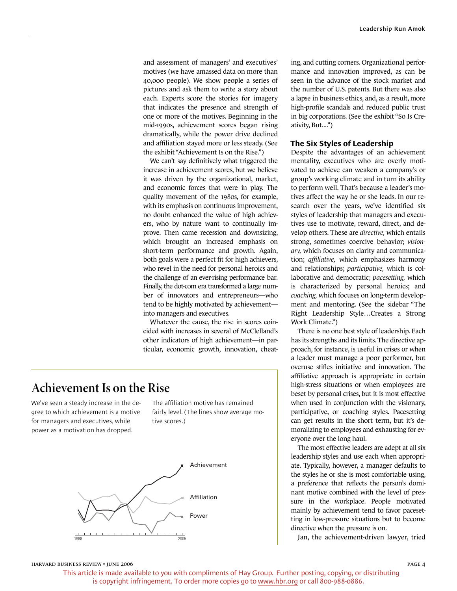and assessment of managers' and executives' motives (we have amassed data on more than 40,000 people). We show people a series of pictures and ask them to write a story about each. Experts score the stories for imagery that indicates the presence and strength of one or more of the motives. Beginning in the mid-1990s, achievement scores began rising dramatically, while the power drive declined and affiliation stayed more or less steady. (See the exhibit "Achievement Is on the Rise.")

We can't say definitively what triggered the increase in achievement scores, but we believe it was driven by the organizational, market, and economic forces that were in play. The quality movement of the 1980s, for example, with its emphasis on continuous improvement, no doubt enhanced the value of high achievers, who by nature want to continually improve. Then came recession and downsizing, which brought an increased emphasis on short-term performance and growth. Again, both goals were a perfect fit for high achievers, who revel in the need for personal heroics and the challenge of an ever-rising performance bar. Finally, the dot-com era transformed a large number of innovators and entrepreneurs—who tend to be highly motivated by achievement into managers and executives.

Whatever the cause, the rise in scores coincided with increases in several of McClelland's other indicators of high achievement—in particular, economic growth, innovation, cheat-

## **Achievement Is on the Rise**

We've seen a steady increase in the degree to which achievement is a motive for managers and executives, while power as a motivation has dropped.

The affiliation motive has remained fairly level. (The lines show average motive scores.)



ing, and cutting corners. Organizational performance and innovation improved, as can be seen in the advance of the stock market and the number of U.S. patents. But there was also a lapse in business ethics, and, as a result, more high-profile scandals and reduced public trust in big corporations. (See the exhibit "So Is Creativity, But....")

#### **The Six Styles of Leadership**

Despite the advantages of an achievement mentality, executives who are overly motivated to achieve can weaken a company's or group's working climate and in turn its ability to perform well. That's because a leader's motives affect the way he or she leads. In our research over the years, we've identified six styles of leadership that managers and executives use to motivate, reward, direct, and develop others. These are *directive,* which entails strong, sometimes coercive behavior; *visionary,* which focuses on clarity and communication; *affiliative,* which emphasizes harmony and relationships; *participative,* which is collaborative and democratic; *pacesetting,* which is characterized by personal heroics; and *coaching,* which focuses on long-term development and mentoring. (See the sidebar "The Right Leadership Style…Creates a Strong Work Climate.")

There is no one best style of leadership. Each has its strengths and its limits. The directive approach, for instance, is useful in crises or when a leader must manage a poor performer, but overuse stifles initiative and innovation. The affiliative approach is appropriate in certain high-stress situations or when employees are beset by personal crises, but it is most effective when used in conjunction with the visionary, participative, or coaching styles. Pacesetting can get results in the short term, but it's demoralizing to employees and exhausting for everyone over the long haul.

The most effective leaders are adept at all six leadership styles and use each when appropriate. Typically, however, a manager defaults to the styles he or she is most comfortable using, a preference that reflects the person's dominant motive combined with the level of pressure in the workplace. People motivated mainly by achievement tend to favor pacesetting in low-pressure situations but to become directive when the pressure is on.

Jan, the achievement-driven lawyer, tried

#### harvard business review • june 2006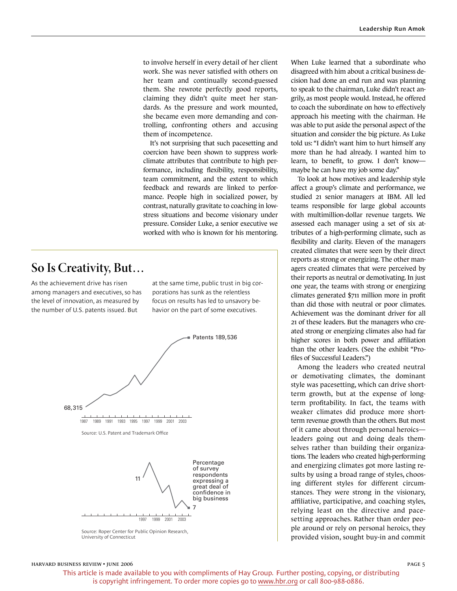to involve herself in every detail of her client work. She was never satisfied with others on her team and continually second-guessed them. She rewrote perfectly good reports, claiming they didn't quite meet her standards. As the pressure and work mounted, she became even more demanding and controlling, confronting others and accusing them of incompetence.

It's not surprising that such pacesetting and coercion have been shown to suppress workclimate attributes that contribute to high performance, including flexibility, responsibility, team commitment, and the extent to which feedback and rewards are linked to performance. People high in socialized power, by contrast, naturally gravitate to coaching in lowstress situations and become visionary under pressure. Consider Luke, a senior executive we worked with who is known for his mentoring.

## **So Is Creativity, But…**

As the achievement drive has risen among managers and executives, so has the level of innovation, as measured by the number of U.S. patents issued. But

at the same time, public trust in big corporations has sunk as the relentless focus on results has led to unsavory behavior on the part of some executives.



Source: Roper Center for Public Opinion Research, University of Connecticut

When Luke learned that a subordinate who disagreed with him about a critical business decision had done an end run and was planning to speak to the chairman, Luke didn't react angrily, as most people would. Instead, he offered to coach the subordinate on how to effectively approach his meeting with the chairman. He was able to put aside the personal aspect of the situation and consider the big picture. As Luke told us: "I didn't want him to hurt himself any more than he had already. I wanted him to learn, to benefit, to grow. I don't know maybe he can have my job some day."

To look at how motives and leadership style affect a group's climate and performance, we studied 21 senior managers at IBM. All led teams responsible for large global accounts with multimillion-dollar revenue targets. We assessed each manager using a set of six attributes of a high-performing climate, such as flexibility and clarity. Eleven of the managers created climates that were seen by their direct reports as strong or energizing. The other managers created climates that were perceived by their reports as neutral or demotivating. In just one year, the teams with strong or energizing climates generated \$711 million more in profit than did those with neutral or poor climates. Achievement was the dominant driver for all 21 of these leaders. But the managers who created strong or energizing climates also had far higher scores in both power and affiliation than the other leaders. (See the exhibit "Profiles of Successful Leaders.")

Among the leaders who created neutral or demotivating climates, the dominant style was pacesetting, which can drive shortterm growth, but at the expense of longterm profitability. In fact, the teams with weaker climates did produce more shortterm revenue growth than the others. But most of it came about through personal heroics leaders going out and doing deals themselves rather than building their organizations. The leaders who created high-performing and energizing climates got more lasting results by using a broad range of styles, choosing different styles for different circumstances. They were strong in the visionary, affiliative, participative, and coaching styles, relying least on the directive and pacesetting approaches. Rather than order people around or rely on personal heroics, they provided vision, sought buy-in and commit

#### harvard business review • june 2006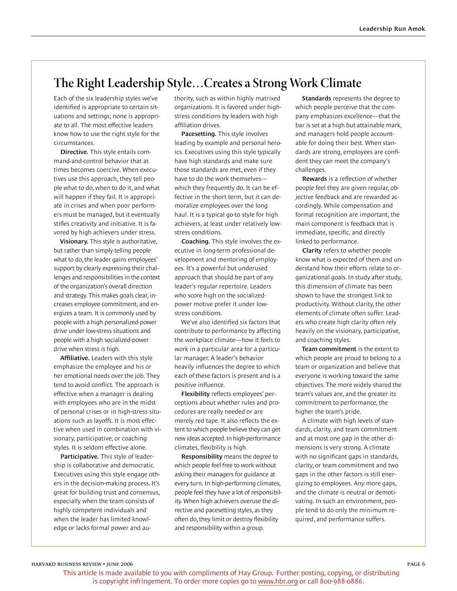## **The Right Leadership Style…Creates a Strong Work Climate**

Each of the six leadership styles we've identified is appropriate to certain situations and settings; none is appropriate to all. The most effective leaders know how to use the right style for the circumstances.

**Directive.** This style entails command-and-control behavior that at times becomes coercive. When executives use this approach, they tell people what to do, when to do it, and what will happen if they fail. It is appropriate in crises and when poor performers must be managed, but it eventually stifles creativity and initiative. It is favored by high achievers under stress.

**Visionary.** This style is authoritative, but rather than simply telling people what to do, the leader gains employees' support by clearly expressing their challenges and responsibilities in the context of the organization's overall direction and strategy. This makes goals clear, increases employee commitment, and energizes a team. It is commonly used by people with a high personalized-power drive under low-stress situations and people with a high socialized-power drive when stress is high.

**Affiliative.** Leaders with this style emphasize the employee and his or her emotional needs over the job. They tend to avoid conflict. The approach is effective when a manager is dealing with employees who are in the midst of personal crises or in high-stress situations such as layoffs. It is most effective when used in combination with visionary, participative, or coaching styles. It is seldom effective alone.

**Participative.** This style of leadership is collaborative and democratic. Executives using this style engage others in the decision-making process. It's great for building trust and consensus, especially when the team consists of highly competent individuals and when the leader has limited knowledge or lacks formal power and authority, such as within highly matrixed organizations. It is favored under highstress conditions by leaders with high affiliation drives.

**Pacesetting.** This style involves leading by example and personal heroics. Executives using this style typically have high standards and make sure those standards are met, even if they have to do the work themselves which they frequently do. It can be effective in the short term, but it can demoralize employees over the long haul. It is a typical go-to style for high achievers, at least under relatively lowstress conditions.

**Coaching.** This style involves the executive in long-term professional development and mentoring of employees. It's a powerful but underused approach that should be part of any leader's regular repertoire. Leaders who score high on the socializedpower motive prefer it under lowstress conditions.

We've also identified six factors that contribute to performance by affecting the workplace climate—how it feels to work in a particular area for a particular manager. A leader's behavior heavily influences the degree to which each of these factors is present and is a positive influence.

**Flexibility** reflects employees' perceptions about whether rules and procedures are really needed or are merely red tape. It also reflects the extent to which people believe they can get new ideas accepted. In high-performance climates, flexibility is high.

**Responsibility** means the degree to which people feel free to work without asking their managers for guidance at every turn. In high-performing climates, people feel they have a lot of responsibility. When high achievers overuse the directive and pacesetting styles, as they often do, they limit or destroy flexibility and responsibility within a group.

**Standards** represents the degree to which people perceive that the company emphasizes excellence—that the bar is set at a high but attainable mark, and managers hold people accountable for doing their best. When standards are strong, employees are confident they can meet the company's challenges.

**Rewards** is a reflection of whether people feel they are given regular, objective feedback and are rewarded accordingly. While compensation and formal recognition are important, the main component is feedback that is immediate, specific, and directly linked to performance.

**Clarity** refers to whether people know what is expected of them and understand how their efforts relate to organizational goals. In study after study, this dimension of climate has been shown to have the strongest link to productivity. Without clarity, the other elements of climate often suffer. Leaders who create high clarity often rely heavily on the visionary, participative, and coaching styles.

**Team commitment** is the extent to which people are proud to belong to a team or organization and believe that everyone is working toward the same objectives. The more widely shared the team's values are, and the greater its commitment to performance, the higher the team's pride.

A climate with high levels of standards, clarity, and team commitment and at most one gap in the other dimensions is very strong. A climate with no significant gaps in standards, clarity, or team commitment and two gaps in the other factors is still energizing to employees. Any more gaps, and the climate is neutral or demotivating. In such an environment, people tend to do only the minimum required, and performance suffers.

 $p_{\text{AGE}}$  6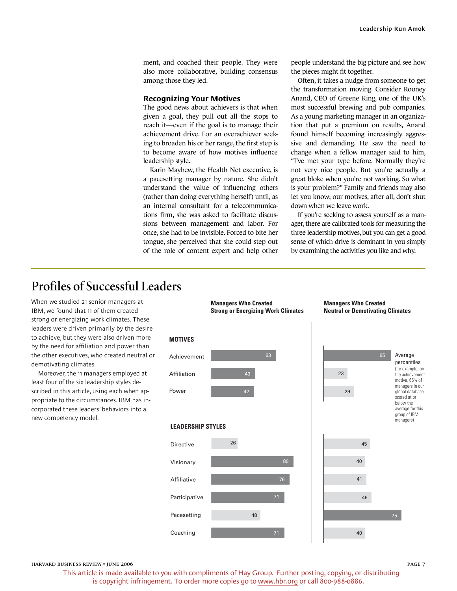ment, and coached their people. They were also more collaborative, building consensus among those they led.

#### **Recognizing Your Motives**

The good news about achievers is that when given a goal, they pull out all the stops to reach it—even if the goal is to manage their achievement drive. For an overachiever seeking to broaden his or her range, the first step is to become aware of how motives influence leadership style.

Karin Mayhew, the Health Net executive, is a pacesetting manager by nature. She didn't understand the value of influencing others (rather than doing everything herself) until, as an internal consultant for a telecommunications firm, she was asked to facilitate discussions between management and labor. For once, she had to be invisible. Forced to bite her tongue, she perceived that she could step out of the role of content expert and help other

people understand the big picture and see how the pieces might fit together.

Often, it takes a nudge from someone to get the transformation moving. Consider Rooney Anand, CEO of Greene King, one of the UK's most successful brewing and pub companies. As a young marketing manager in an organization that put a premium on results, Anand found himself becoming increasingly aggressive and demanding. He saw the need to change when a fellow manager said to him, "I've met your type before. Normally they're not very nice people. But you're actually a great bloke when you're not working. So what is your problem?" Family and friends may also let you know; our motives, after all, don't shut down when we leave work.

If you're seeking to assess yourself as a manager, there are calibrated tools for measuring the three leadership motives, but you can get a good sense of which drive is dominant in you simply by examining the activities you like and why.

## **Profiles of Successful Leaders**

When we studied 21 senior managers at IBM, we found that 11 of them created strong or energizing work climates. These leaders were driven primarily by the desire to achieve, but they were also driven more by the need for affiliation and power than the other executives, who created neutral or demotivating climates.

Moreover, the 11 managers employed at least four of the six leadership styles described in this article, using each when appropriate to the circumstances. IBM has incorporated these leaders' behaviors into a new competency model.



harvard business review • june 2006

 $p_{\text{AGE}}$  7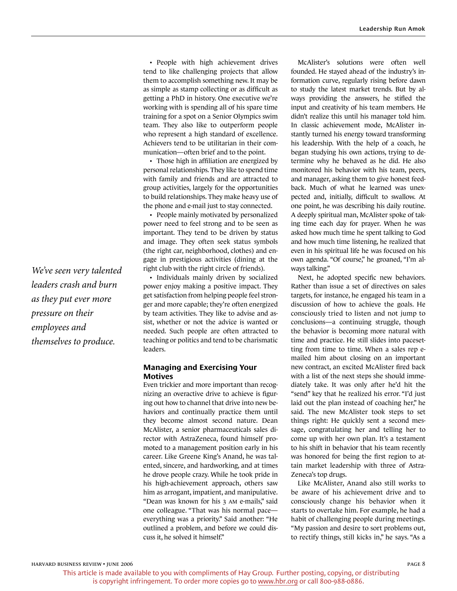• People with high achievement drives tend to like challenging projects that allow them to accomplish something new. It may be as simple as stamp collecting or as difficult as getting a PhD in history. One executive we're working with is spending all of his spare time training for a spot on a Senior Olympics swim team. They also like to outperform people who represent a high standard of excellence. Achievers tend to be utilitarian in their communication—often brief and to the point.

• Those high in affiliation are energized by personal relationships. They like to spend time with family and friends and are attracted to group activities, largely for the opportunities to build relationships. They make heavy use of the phone and e-mail just to stay connected.

• People mainly motivated by personalized power need to feel strong and to be seen as important. They tend to be driven by status and image. They often seek status symbols (the right car, neighborhood, clothes) and engage in prestigious activities (dining at the right club with the right circle of friends).

• Individuals mainly driven by socialized power enjoy making a positive impact. They get satisfaction from helping people feel stronger and more capable; they're often energized by team activities. They like to advise and assist, whether or not the advice is wanted or needed. Such people are often attracted to teaching or politics and tend to be charismatic leaders.

#### **Managing and Exercising Your Motives**

Even trickier and more important than recognizing an overactive drive to achieve is figuring out how to channel that drive into new behaviors and continually practice them until they become almost second nature. Dean McAlister, a senior pharmaceuticals sales director with AstraZeneca, found himself promoted to a management position early in his career. Like Greene King's Anand, he was talented, sincere, and hardworking, and at times he drove people crazy. While he took pride in his high-achievement approach, others saw him as arrogant, impatient, and manipulative. "Dean was known for his 3 AM e-mails," said one colleague. "That was his normal pace everything was a priority." Said another: "He outlined a problem, and before we could discuss it, he solved it himself."

McAlister's solutions were often well founded. He stayed ahead of the industry's information curve, regularly rising before dawn to study the latest market trends. But by always providing the answers, he stifled the input and creativity of his team members. He didn't realize this until his manager told him. In classic achievement mode, McAlister instantly turned his energy toward transforming his leadership. With the help of a coach, he began studying his own actions, trying to determine why he behaved as he did. He also monitored his behavior with his team, peers, and manager, asking them to give honest feedback. Much of what he learned was unexpected and, initially, difficult to swallow. At one point, he was describing his daily routine. A deeply spiritual man, McAlister spoke of taking time each day for prayer. When he was asked how much time he spent talking to God and how much time listening, he realized that even in his spiritual life he was focused on his own agenda. "Of course," he groaned, "I'm always talking."

Next, he adopted specific new behaviors. Rather than issue a set of directives on sales targets, for instance, he engaged his team in a discussion of how to achieve the goals. He consciously tried to listen and not jump to conclusions—a continuing struggle, though the behavior is becoming more natural with time and practice. He still slides into pacesetting from time to time. When a sales rep emailed him about closing on an important new contract, an excited McAlister fired back with a list of the next steps she should immediately take. It was only after he'd hit the "send" key that he realized his error. "I'd just laid out the plan instead of coaching her," he said. The new McAlister took steps to set things right: He quickly sent a second message, congratulating her and telling her to come up with her own plan. It's a testament to his shift in behavior that his team recently was honored for being the first region to attain market leadership with three of Astra-Zeneca's top drugs.

Like McAlister, Anand also still works to be aware of his achievement drive and to consciously change his behavior when it starts to overtake him. For example, he had a habit of challenging people during meetings. "My passion and desire to sort problems out, to rectify things, still kicks in," he says. "As a

*We've seen very talented leaders crash and burn as they put ever more pressure on their employees and themselves to produce.*

 $p_{\text{AGE}}$  8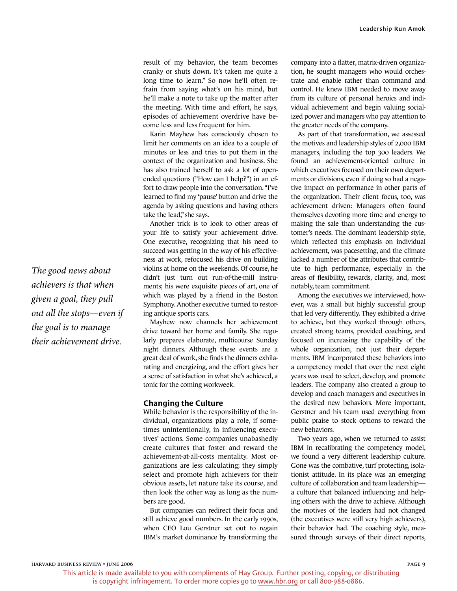result of my behavior, the team becomes cranky or shuts down. It's taken me quite a long time to learn." So now he'll often refrain from saying what's on his mind, but he'll make a note to take up the matter after the meeting. With time and effort, he says, episodes of achievement overdrive have become less and less frequent for him.

Karin Mayhew has consciously chosen to limit her comments on an idea to a couple of minutes or less and tries to put them in the context of the organization and business. She has also trained herself to ask a lot of openended questions ("How can I help?") in an effort to draw people into the conversation. "I've learned to find my 'pause' button and drive the agenda by asking questions and having others take the lead," she says.

Another trick is to look to other areas of your life to satisfy your achievement drive. One executive, recognizing that his need to succeed was getting in the way of his effectiveness at work, refocused his drive on building violins at home on the weekends. Of course, he didn't just turn out run-of-the-mill instruments; his were exquisite pieces of art, one of which was played by a friend in the Boston Symphony. Another executive turned to restoring antique sports cars.

Mayhew now channels her achievement drive toward her home and family. She regularly prepares elaborate, multicourse Sunday night dinners. Although these events are a great deal of work, she finds the dinners exhilarating and energizing, and the effort gives her a sense of satisfaction in what she's achieved, a tonic for the coming workweek.

#### **Changing the Culture**

While behavior is the responsibility of the individual, organizations play a role, if sometimes unintentionally, in influencing executives' actions. Some companies unabashedly create cultures that foster and reward the achievement-at-all-costs mentality. Most organizations are less calculating; they simply select and promote high achievers for their obvious assets, let nature take its course, and then look the other way as long as the numbers are good.

But companies can redirect their focus and still achieve good numbers. In the early 1990s, when CEO Lou Gerstner set out to regain IBM's market dominance by transforming the company into a flatter, matrix-driven organization, he sought managers who would orchestrate and enable rather than command and control. He knew IBM needed to move away from its culture of personal heroics and individual achievement and begin valuing socialized power and managers who pay attention to the greater needs of the company.

As part of that transformation, we assessed the motives and leadership styles of 2,000 IBM managers, including the top 300 leaders. We found an achievement-oriented culture in which executives focused on their own departments or divisions, even if doing so had a negative impact on performance in other parts of the organization. Their client focus, too, was achievement driven: Managers often found themselves devoting more time and energy to making the sale than understanding the customer's needs. The dominant leadership style, which reflected this emphasis on individual achievement, was pacesetting, and the climate lacked a number of the attributes that contribute to high performance, especially in the areas of flexibility, rewards, clarity, and, most notably, team commitment.

Among the executives we interviewed, however, was a small but highly successful group that led very differently. They exhibited a drive to achieve, but they worked through others, created strong teams, provided coaching, and focused on increasing the capability of the whole organization, not just their departments. IBM incorporated these behaviors into a competency model that over the next eight years was used to select, develop, and promote leaders. The company also created a group to develop and coach managers and executives in the desired new behaviors. More important, Gerstner and his team used everything from public praise to stock options to reward the new behaviors.

Two years ago, when we returned to assist IBM in recalibrating the competency model, we found a very different leadership culture. Gone was the combative, turf protecting, isolationist attitude. In its place was an emerging culture of collaboration and team leadership a culture that balanced influencing and helping others with the drive to achieve. Although the motives of the leaders had not changed (the executives were still very high achievers), their behavior had. The coaching style, measured through surveys of their direct reports,

*The good news about achievers is that when given a goal, they pull out all the stops—even if the goal is to manage their achievement drive.*

 $p_{\text{AGE}}$  9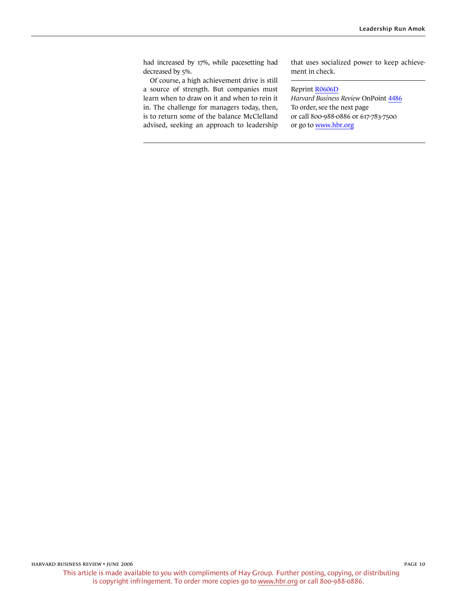had increased by 17%, while pacesetting had decreased by 5%.

Of course, a high achievement drive is still a source of strength. But companies must learn when to draw on it and when to rein it in. The challenge for managers today, then, is to return some of the balance McClelland advised, seeking an approach to leadership that uses socialized power to keep achievement in check.

#### Reprint [R0606D](http://harvardbusinessonline.hbsp.harvard.edu/relay.jhtml?name=itemdetail&referral=4320&id=R0606D)

*Harvard Business Review* OnPoint [4486](http://harvardbusinessonline.hbsp.harvard.edu/relay.jhtml?name=itemdetail&referral=4320&id=4486) To order, see the next page or call 800-988-0886 or 617-783-7500 or go to [www.hbr.org](http://www.hbr.org)